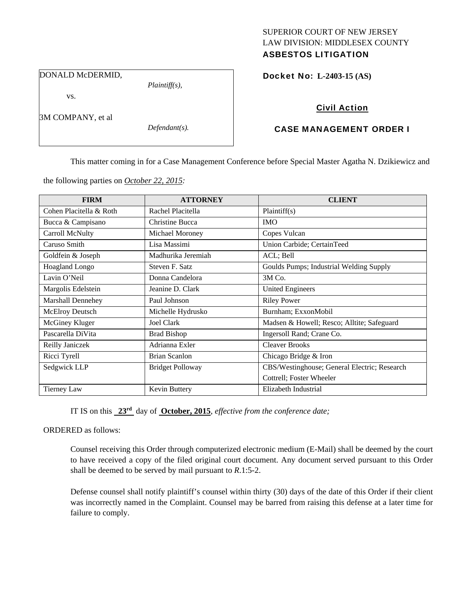# SUPERIOR COURT OF NEW JERSEY LAW DIVISION: MIDDLESEX COUNTY

# ASBESTOS LITIGATION

DONALD McDERMID,

vs.

3M COMPANY, et al

*Defendant(s).* 

*Plaintiff(s),* 

Docket No: **L-2403-15 (AS)** 

# Civil Action

# CASE MANAGEMENT ORDER I

This matter coming in for a Case Management Conference before Special Master Agatha N. Dzikiewicz and

the following parties on *October 22, 2015:* 

| <b>FIRM</b>              | <b>ATTORNEY</b>         | <b>CLIENT</b>                                |
|--------------------------|-------------------------|----------------------------------------------|
| Cohen Placitella & Roth  | Rachel Placitella       | Plaintiff(s)                                 |
| Bucca & Campisano        | <b>Christine Bucca</b>  | <b>IMO</b>                                   |
| Carroll McNulty          | Michael Moroney         | Copes Vulcan                                 |
| Caruso Smith             | Lisa Massimi            | Union Carbide; CertainTeed                   |
| Goldfein & Joseph        | Madhurika Jeremiah      | ACL; Bell                                    |
| <b>Hoagland Longo</b>    | Steven F. Satz          | Goulds Pumps; Industrial Welding Supply      |
| Lavin O'Neil             | Donna Candelora         | 3M Co.                                       |
| Margolis Edelstein       | Jeanine D. Clark        | <b>United Engineers</b>                      |
| <b>Marshall Dennehey</b> | Paul Johnson            | <b>Riley Power</b>                           |
| <b>McElroy Deutsch</b>   | Michelle Hydrusko       | Burnham; ExxonMobil                          |
| McGiney Kluger           | Joel Clark              | Madsen & Howell; Resco; Alltite; Safeguard   |
| Pascarella DiVita        | <b>Brad Bishop</b>      | Ingersoll Rand; Crane Co.                    |
| Reilly Janiczek          | Adrianna Exler          | <b>Cleaver Brooks</b>                        |
| Ricci Tyrell             | <b>Brian Scanlon</b>    | Chicago Bridge & Iron                        |
| Sedgwick LLP             | <b>Bridget Polloway</b> | CBS/Westinghouse; General Electric; Research |
|                          |                         | Cottrell; Foster Wheeler                     |
| <b>Tierney Law</b>       | Kevin Buttery           | Elizabeth Industrial                         |

IT IS on this **23rd** day of **October, 2015**, *effective from the conference date;*

## ORDERED as follows:

Counsel receiving this Order through computerized electronic medium (E-Mail) shall be deemed by the court to have received a copy of the filed original court document. Any document served pursuant to this Order shall be deemed to be served by mail pursuant to *R*.1:5-2.

Defense counsel shall notify plaintiff's counsel within thirty (30) days of the date of this Order if their client was incorrectly named in the Complaint. Counsel may be barred from raising this defense at a later time for failure to comply.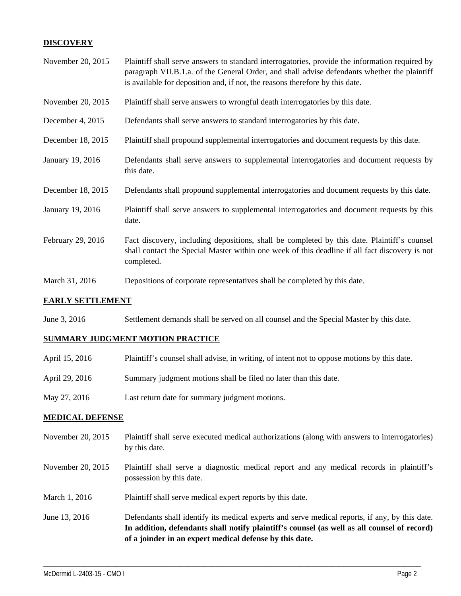## **DISCOVERY**

| November 20, 2015 | Plaintiff shall serve answers to standard interrogatories, provide the information required by<br>paragraph VII.B.1.a. of the General Order, and shall advise defendants whether the plaintiff<br>is available for deposition and, if not, the reasons therefore by this date. |
|-------------------|--------------------------------------------------------------------------------------------------------------------------------------------------------------------------------------------------------------------------------------------------------------------------------|
| November 20, 2015 | Plaintiff shall serve answers to wrongful death interrogatories by this date.                                                                                                                                                                                                  |
| December 4, 2015  | Defendants shall serve answers to standard interrogatories by this date.                                                                                                                                                                                                       |
| December 18, 2015 | Plaintiff shall propound supplemental interrogatories and document requests by this date.                                                                                                                                                                                      |
| January 19, 2016  | Defendants shall serve answers to supplemental interrogatories and document requests by<br>this date.                                                                                                                                                                          |
| December 18, 2015 | Defendants shall propound supplemental interrogatories and document requests by this date.                                                                                                                                                                                     |
| January 19, 2016  | Plaintiff shall serve answers to supplemental interrogatories and document requests by this<br>date.                                                                                                                                                                           |
| February 29, 2016 | Fact discovery, including depositions, shall be completed by this date. Plaintiff's counsel<br>shall contact the Special Master within one week of this deadline if all fact discovery is not<br>completed.                                                                    |
| March 31, 2016    | Depositions of corporate representatives shall be completed by this date.                                                                                                                                                                                                      |

#### **EARLY SETTLEMENT**

June 3, 2016 Settlement demands shall be served on all counsel and the Special Master by this date.

#### **SUMMARY JUDGMENT MOTION PRACTICE**

| April 15, 2016 | Plaintiff's counsel shall advise, in writing, of intent not to oppose motions by this date. |
|----------------|---------------------------------------------------------------------------------------------|
| April 29, 2016 | Summary judgment motions shall be filed no later than this date.                            |
| May 27, 2016   | Last return date for summary judgment motions.                                              |

#### **MEDICAL DEFENSE**

- November 20, 2015 Plaintiff shall serve executed medical authorizations (along with answers to interrogatories) by this date.
- November 20, 2015 Plaintiff shall serve a diagnostic medical report and any medical records in plaintiff's possession by this date.
- March 1, 2016 Plaintiff shall serve medical expert reports by this date.
- June 13, 2016 Defendants shall identify its medical experts and serve medical reports, if any, by this date. **In addition, defendants shall notify plaintiff's counsel (as well as all counsel of record) of a joinder in an expert medical defense by this date.**

\_\_\_\_\_\_\_\_\_\_\_\_\_\_\_\_\_\_\_\_\_\_\_\_\_\_\_\_\_\_\_\_\_\_\_\_\_\_\_\_\_\_\_\_\_\_\_\_\_\_\_\_\_\_\_\_\_\_\_\_\_\_\_\_\_\_\_\_\_\_\_\_\_\_\_\_\_\_\_\_\_\_\_\_\_\_\_\_\_\_\_\_\_\_\_\_\_\_\_\_\_\_\_\_\_\_\_\_\_\_